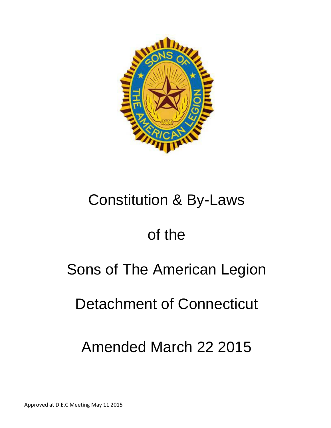

# Constitution & By-Laws

# of the

# Sons of The American Legion

# Detachment of Connecticut

# Amended March 22 2015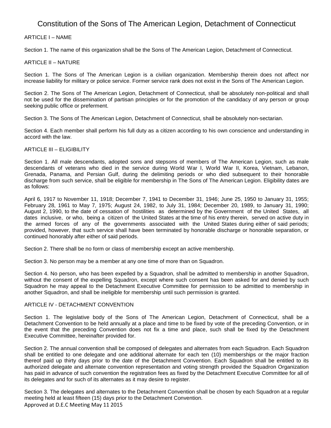# Constitution of the Sons of The American Legion, Detachment of Connecticut

# ARTICLE I – NAME

Section 1. The name of this organization shall be the Sons of The American Legion, Detachment of Connecticut.

# ARTICLE II – NATURE

Section 1. The Sons of The American Legion is a civilian organization. Membership therein does not affect nor increase liability for military or police service. Former service rank does not exist in the Sons of The American Legion.

Section 2. The Sons of The American Legion, Detachment of Connecticut, shall be absolutely non-political and shall not be used for the dissemination of partisan principles or for the promotion of the candidacy of any person or group seeking public office or preferment.

Section 3. The Sons of The American Legion, Detachment of Connecticut, shall be absolutely non-sectarian.

Section 4. Each member shall perform his full duty as a citizen according to his own conscience and understanding in accord with the law.

### ARTICLE III – ELIGIBILITY

Section 1. All male descendants, adopted sons and stepsons of members of The American Legion, such as male descendants of veterans who died in the service during World War I, World War II, Korea, Vietnam, Lebanon, Grenada, Panama, and Persian Gulf, during the delimiting periods or who died subsequent to their honorable discharge from such service, shall be eligible for membership in The Sons of The American Legion. Eligibility dates are as follows:

April 6, 1917 to November 11, 1918; December 7, 1941 to December 31, 1946; June 25, 1950 to January 31, 1955; February 28, 1961 to May 7, 1975; August 24, 1982, to July 31, 1984; December 20, 1989, to January 31, 1990; August 2, 1990, to the date of cessation of hostilities as determined by the Government of the United States, all dates inclusive, or who, being a citizen of the United States at the time of his entry therein, served on active duty in the armed forces of any of the governments associated with the United States during either of said periods; provided, however, that such service shall have been terminated by honorable discharge or honorable separation, or continued honorably after either of said periods.

Section 2. There shall be no form or class of membership except an active membership.

Section 3. No person may be a member at any one time of more than on Squadron.

Section 4. No person, who has been expelled by a Squadron, shall be admitted to membership in another Squadron, without the consent of the expelling Squadron, except where such consent has been asked for and denied by such Squadron he may appeal to the Detachment Executive Committee for permission to be admitted to membership in another Squadron, and shall be ineligible for membership until such permission is granted.

### ARTICLE IV - DETACHMENT CONVENTION

Section 1. The legislative body of the Sons of The American Legion, Detachment of Connecticut, shall be a Detachment Convention to be held annually at a place and time to be fixed by vote of the preceding Convention, or in the event that the preceding Convention does not fix a time and place, such shall be fixed by the Detachment Executive Committee, hereinafter provided for.

Section 2. The annual convention shall be composed of delegates and alternates from each Squadron. Each Squadron shall be entitled to one delegate and one additional alternate for each ten (10) memberships or the major fraction thereof paid up thirty days prior to the date of the Detachment Convention. Each Squadron shall be entitled to its authorized delegate and alternate convention representation and voting strength provided the Squadron Organization has paid in advance of such convention the registration fees as fixed by the Detachment Executive Committee for all of its delegates and for such of its alternates as it may desire to register.

Approved at D.E.C Meeting May 11 2015 Section 3. The delegates and alternates to the Detachment Convention shall be chosen by each Squadron at a regular meeting held at least fifteen (15) days prior to the Detachment Convention.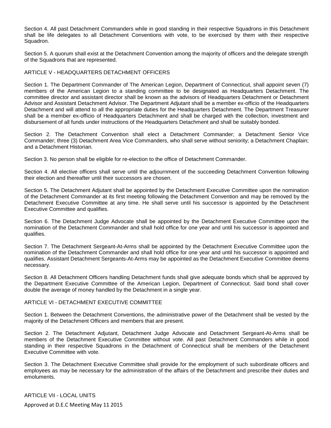Section 4. All past Detachment Commanders while in good standing in their respective Squadrons in this Detachment shall be life delegates to all Detachment Conventions with vote, to be exercised by them with their respective Squadron.

Section 5. A quorum shall exist at the Detachment Convention among the majority of officers and the delegate strength of the Squadrons that are represented.

# ARTICLE V - HEADQUARTERS DETACHMENT OFFICERS

Section 1. The Department Commander of The American Legion, Department of Connecticut, shall appoint seven (7) members of the American Legion to a standing committee to be designated as Headquarters Detachment. The committee director and assistant director shall be known as the advisors of Headquarters Detachment or Detachment Advisor and Assistant Detachment Advisor. The Department Adjutant shall be a member ex-officio of the Headquarters Detachment and will attend to all the appropriate duties for the Headquarters Detachment. The Department Treasurer shall be a member ex-officio of Headquarters Detachment and shall be charged with the collection, investment and disbursement of all funds under instructions of the Headquarters Detachment and shall be suitably bonded.

Section 2. The Detachment Convention shall elect a Detachment Commander; a Detachment Senior Vice Commander; three (3) Detachment Area Vice Commanders, who shall serve without seniority; a Detachment Chaplain; and a Detachment Historian.

Section 3. No person shall be eligible for re-election to the office of Detachment Commander.

Section 4. All elective officers shall serve until the adjournment of the succeeding Detachment Convention following their election and thereafter until their successors are chosen.

Section 5. The Detachment Adjutant shall be appointed by the Detachment Executive Committee upon the nomination of the Detachment Commander at its first meeting following the Detachment Convention and may be removed by the Detachment Executive Committee at any time. He shall serve until his successor is appointed by the Detachment Executive Committee and qualifies.

Section 6. The Detachment Judge Advocate shall be appointed by the Detachment Executive Committee upon the nomination of the Detachment Commander and shall hold office for one year and until his successor is appointed and qualifies.

Section 7. The Detachment Sergeant-At-Arms shall be appointed by the Detachment Executive Committee upon the nomination of the Detachment Commander and shall hold office for one year and until his successor is appointed and qualifies. Assistant Detachment Sergeants-At-Arms may be appointed as the Detachment Executive Committee deems necessary.

Section 8. All Detachment Officers handling Detachment funds shall give adequate bonds which shall be approved by the Department Executive Committee of the American Legion, Department of Connecticut. Said bond shall cover double the average of money handled by the Detachment in a single year.

### ARTICLE VI - DETACHMENT EXECUTIVE COMMITTEE

Section 1. Between the Detachment Conventions, the administrative power of the Detachment shall be vested by the majority of the Detachment Officers and members that are present.

Section 2. The Detachment Adjutant, Detachment Judge Advocate and Detachment Sergeant-At-Arms shall be members of the Detachment Executive Committee without vote. All past Detachment Commanders while in good standing in their respective Squadrons in the Detachment of Connecticut shall be members of the Detachment Executive Committee with vote.

Section 3. The Detachment Executive Committee shall provide for the employment of such subordinate officers and employees as may be necessary for the administration of the affairs of the Detachment and prescribe their duties and emoluments.

Approved at D.E.C Meeting May 11 2015 ARTICLE VII - LOCAL UNITS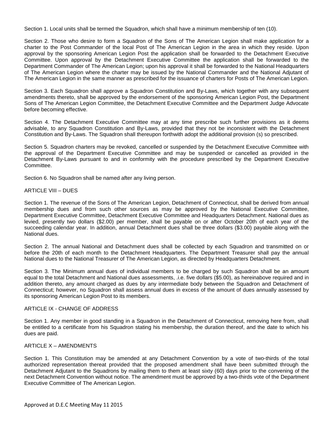Section 1. Local units shall be termed the Squadron, which shall have a minimum membership of ten (10).

Section 2. Those who desire to form a Squadron of the Sons of The American Legion shall make application for a charter to the Post Commander of the local Post of The American Legion in the area in which they reside. Upon approval by the sponsoring American Legion Post the application shall be forwarded to the Detachment Executive Committee. Upon approval by the Detachment Executive Committee the application shall be forwarded to the Department Commander of The American Legion; upon his approval it shall be forwarded to the National Headquarters of The American Legion where the charter may be issued by the National Commander and the National Adjutant of The American Legion in the same manner as prescribed for the issuance of charters for Posts of The American Legion.

Section 3. Each Squadron shall approve a Squadron Constitution and By-Laws, which together with any subsequent amendments thereto, shall be approved by the endorsement of the sponsoring American Legion Post, the Department Sons of The American Legion Committee, the Detachment Executive Committee and the Department Judge Advocate before becoming effective.

Section 4. The Detachment Executive Committee may at any time prescribe such further provisions as it deems advisable, to any Squadron Constitution and By-Laws, provided that they not be inconsistent with the Detachment Constitution and By-Laws. The Squadron shall thereupon forthwith adopt the additional provision (s) so prescribed.

Section 5. Squadron charters may be revoked, cancelled or suspended by the Detachment Executive Committee with the approval of the Department Executive Committee and may be suspended or cancelled as provided in the Detachment By-Laws pursuant to and in conformity with the procedure prescribed by the Department Executive Committee.

Section 6. No Squadron shall be named after any living person.

# ARTICLE VIII – DUES

Section 1. The revenue of the Sons of The American Legion, Detachment of Connecticut, shall be derived from annual membership dues and from such other sources as may be approved by the National Executive Committee, Department Executive Committee, Detachment Executive Committee and Headquarters Detachment. National dues as levied, presently two dollars (\$2.00) per member, shall be payable on or after October 20th of each year of the succeeding calendar year. In addition, annual Detachment dues shall be three dollars (\$3.00) payable along with the National dues.

Section 2. The annual National and Detachment dues shall be collected by each Squadron and transmitted on or before the 20th of each month to the Detachment Headquarters. The Department Treasurer shall pay the annual National dues to the National Treasurer of The American Legion, as directed by Headquarters Detachment.

Section 3. The Minimum annual dues of individual members to be charged by such Squadron shall be an amount equal to the total Detachment and National dues assessments, .i.e. five dollars (\$5.00), as hereinabove required and in addition thereto, any amount charged as dues by any intermediate body between the Squadron and Detachment of Connecticut; however, no Squadron shall assess annual dues in excess of the amount of dues annually assessed by its sponsoring American Legion Post to its members.

### ARTICLE IX - CHANGE OF ADDRESS

Section 1. Any member in good standing in a Squadron in the Detachment of Connecticut, removing here from, shall be entitled to a certificate from his Squadron stating his membership, the duration thereof, and the date to which his dues are paid.

# ARTICLE X – AMENDMENTS

Section 1. This Constitution may be amended at any Detachment Convention by a vote of two-thirds of the total authorized representation thereat provided that the proposed amendment shall have been submitted through the Detachment Adjutant to the Squadrons by mailing them to them at least sixty (60) days prior to the convening of the next Detachment Convention without notice. The amendment must be approved by a two-thirds vote of the Department Executive Committee of The American Legion.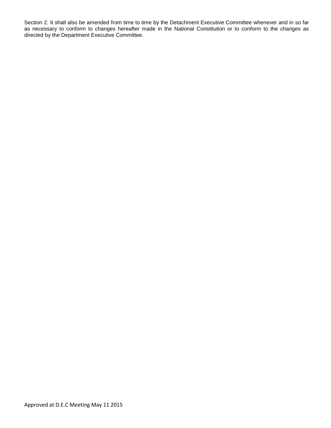Section 2. It shall also be amended from time to time by the Detachment Executive Committee whenever and in so far as necessary to conform to changes hereafter made in the National Constitution or to conform to the changes as directed by the Department Executive Committee.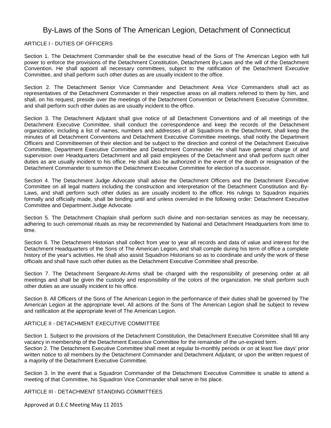# By-Laws of the Sons of The American Legion, Detachment of Connecticut

# ARTICLE I - DUTIES OF OFFICERS

Section 1. The Detachment Commander shall be the executive head of the Sons of The American Legion with full power to enforce the provisions of the Detachment Constitution, Detachment By-Laws and the will of the Detachment Convention. He shall appoint all necessary committees, subject to the ratification of the Detachment Executive Committee, and shall perform such other duties as are usually incident to the office.

Section 2. The Detachment Senior Vice Commander and Detachment Area Vice Commanders shall act as representatives of the Detachment Commander in their respective areas on all matters referred to them by him, and shall, on his request, preside over the meetings of the Detachment Convention or Detachment Executive Committee, and shall perform such other duties as are usually incident to the office.

Section 3. The Detachment Adjutant shall give notice of all Detachment Conventions and of all meetings of the Detachment Executive Committee, shall conduct the correspondence and keep the records of the Detachment organization, including a list of names, numbers and addresses of all Squadrons in the Detachment, shall keep the minutes of all Detachment Conventions and Detachment Executive Committee meetings, shall notify the Department Officers and Committeemen of their election and be subject to the direction and control of the Detachment Executive Committee, Department Executive Committee and Detachment Commander. He shall have general charge of and supervision over Headquarters Detachment and all paid employees of the Detachment and shall perform such other duties as are usually incident to his office. He shall also be authorized in the event of the death or resignation of the Detachment Commander to summon the Detachment Executive Committee for election of a successor.

Section 4. The Detachment Judge Advocate shall advise the Detachment Officers and the Detachment Executive Committee on all legal matters including the construction and interpretation of the Detachment Constitution and By-Laws, and shall perform such other duties as are usually incident to the office. His rulings to Squadron inquiries formally and officially made, shall be binding until and unless overruled in the following order: Detachment Executive Committee and Department Judge Advocate.

Section 5. The Detachment Chaplain shall perform such divine and non-sectarian services as may be necessary, adhering to such ceremonial rituals as may be recommended by National and Detachment Headquarters from time to time.

Section 6. The Detachment Historian shall collect from year to year all records and data of value and interest for the Detachment Headquarters of the Sons of The American Legion, and shall compile during his term of office a complete history of the year's activities. He shall also assist Squadron Historians so as to coordinate and unify the work of these officials and shall have such other duties as the Detachment Executive Committee shall prescribe.

Section 7. The Detachment Sergeant-At-Arms shall be charged with the responsibility of preserving order at all meetings and shall be given the custody and responsibility of the colors of the organization. He shall perform such other duties as are usually incident to his office.

Section 8. All Officers of the Sons of The American Legion in the performance of their duties shall be governed by The American Legion at the appropriate level. All actions of the Sons of The American Legion shall be subject to review and ratification at the appropriate level of The American Legion.

### ARTICLE II - DETACHMENT EXECUTIVE COMMITTEE

Section 1. Subject to the provisions of the Detachment Constitution, the Detachment Executive Committee shall fill any vacancy in membership of the Detachment Executive Committee for the remainder of the un-expired term. Section 2. The Detachment Executive Committee shall meet at regular bi-monthly periods or on at least five days' prior written notice to all members by the Detachment Commander and Detachment Adjutant, or upon the written request of a majority of the Detachment Executive Committee.

Section 3. In the event that a Squadron Commander of the Detachment Executive Committee is unable to attend a meeting of that Committee, his Squadron Vice Commander shall serve in his place.

ARTICLE III - DETACHMENT STANDING COMMITTEES

Approved at D.E.C Meeting May 11 2015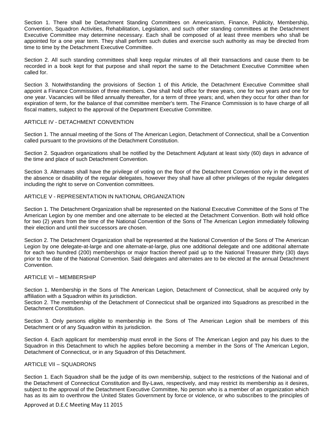Section 1. There shall be Detachment Standing Committees on Americanism, Finance, Publicity, Membership, Convention, Squadron Activities, Rehabilitation, Legislation, and such other standing committees at the Detachment Executive Committee may determine necessary. Each shall be composed of at least three members who shall be appointed for a one year term. They shall perform such duties and exercise such authority as may be directed from time to time by the Detachment Executive Committee.

Section 2. All such standing committees shall keep regular minutes of all their transactions and cause them to be recorded in a book kept for that purpose and shall report the same to the Detachment Executive Committee when called for.

Section 3. Notwithstanding the provisions of Section 1 of this Article, the Detachment Executive Committee shall appoint a Finance Commission of three members. One shall hold office for three years, one for two years and one for one year. Vacancies will be filled annually thereafter, for a term of three years; and, when they occur for other than for expiration of term, for the balance of that committee member's term. The Finance Commission is to have charge of all fiscal matters, subject to the approval of the Department Executive Committee.

# ARTICLE IV - DETACHMENT CONVENTION

Section 1. The annual meeting of the Sons of The American Legion, Detachment of Connecticut, shall be a Convention called pursuant to the provisions of the Detachment Constitution.

Section 2. Squadron organizations shall be notified by the Detachment Adjutant at least sixty (60) days in advance of the time and place of such Detachment Convention.

Section 3. Alternates shall have the privilege of voting on the floor of the Detachment Convention only in the event of the absence or disability of the regular delegates, however they shall have all other privileges of the regular delegates including the right to serve on Convention committees.

# ARTICLE V - REPRESENTATION IN NATIONAL ORGANIZATION

Section 1. The Detachment Organization shall be represented on the National Executive Committee of the Sons of The American Legion by one member and one alternate to be elected at the Detachment Convention. Both will hold office for two (2) years from the time of the National Convention of the Sons of The American Legion immediately following their election and until their successors are chosen.

Section 2. The Detachment Organization shall be represented at the National Convention of the Sons of The American Legion by one delegate-at-large and one alternate-at-large, plus one additional delegate and one additional alternate for each two hundred (200) memberships or major fraction thereof paid up to the National Treasurer thirty (30) days prior to the date of the National Convention. Said delegates and alternates are to be elected at the annual Detachment Convention.

### ARTICLE VI – MEMBERSHIP

Section 1. Membership in the Sons of The American Legion, Detachment of Connecticut, shall be acquired only by affiliation with a Squadron within its jurisdiction.

Section 2. The membership of the Detachment of Connecticut shall be organized into Squadrons as prescribed in the Detachment Constitution.

Section 3. Only persons eligible to membership in the Sons of The American Legion shall be members of this Detachment or of any Squadron within its jurisdiction.

Section 4. Each applicant for membership must enroll in the Sons of The American Legion and pay his dues to the Squadron in this Detachment to which he applies before becoming a member in the Sons of The American Legion, Detachment of Connecticut, or in any Squadron of this Detachment.

### ARTICLE VII – SQUADRONS

Section 1. Each Squadron shall be the judge of its own membership, subject to the restrictions of the National and of the Detachment of Connecticut Constitution and By-Laws, respectively, and may restrict its membership as it desires, subject to the approval of the Detachment Executive Committee, No person who is a member of an organization which has as its aim to overthrow the United States Government by force or violence, or who subscribes to the principles of

### Approved at D.E.C Meeting May 11 2015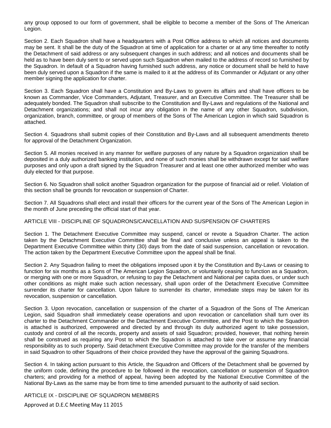any group opposed to our form of government, shall be eligible to become a member of the Sons of The American Legion.

Section 2. Each Squadron shall have a headquarters with a Post Office address to which all notices and documents may be sent. It shall be the duty of the Squadron at time of application for a charter or at any time thereafter to notify the Detachment of said address or any subsequent changes in such address; and all notices and documents shall be held as to have been duly sent to or served upon such Squadron when mailed to the address of record so furnished by the Squadron. In default of a Squadron having furnished such address, any notice or document shall be held to have been duly served upon a Squadron if the same is mailed to it at the address of its Commander or Adjutant or any other member signing the application for charter.

Section 3. Each Squadron shall have a Constitution and By-Laws to govern its affairs and shall have officers to be known as Commander, Vice Commanders, Adjutant, Treasurer, and an Executive Committee. The Treasurer shall be adequately bonded. The Squadron shall subscribe to the Constitution and By-Laws and regulations of the National and Detachment organizations; and shall not incur any obligation in the name of any other Squadron, subdivision, organization, branch, committee, or group of members of the Sons of The American Legion in which said Squadron is attached.

Section 4. Squadrons shall submit copies of their Constitution and By-Laws and all subsequent amendments thereto for approval of the Detachment Organization.

Section 5. All monies received in any manner for welfare purposes of any nature by a Squadron organization shall be deposited in a duly authorized banking institution, and none of such monies shall be withdrawn except for said welfare purposes and only upon a draft signed by the Squadron Treasurer and at least one other authorized member who was duly elected for that purpose.

Section 6. No Squadron shall solicit another Squadron organization for the purpose of financial aid or relief. Violation of this section shall be grounds for revocation or suspension of Charter.

Section 7. All Squadrons shall elect and install their officers for the current year of the Sons of The American Legion in the month of June preceding the official start of that year.

### ARTICLE VIII - DISCIPLINE OF SQUADRONS/CANCELLATION AND SUSPENSION OF CHARTERS

Section 1. The Detachment Executive Committee may suspend, cancel or revote a Squadron Charter. The action taken by the Detachment Executive Committee shall be final and conclusive unless an appeal is taken to the Department Executive Committee within thirty (30) days from the date of said suspension, cancellation or revocation. The action taken by the Department Executive Committee upon the appeal shall be final.

Section 2. Any Squadron failing to meet the obligations imposed upon it by the Constitution and By-Laws or ceasing to function for six months as a Sons of The American Legion Squadron, or voluntarily ceasing to function as a Squadron, or merging with one or more Squadron, or refusing to pay the Detachment and National per capita dues, or under such other conditions as might make such action necessary, shall upon order of the Detachment Executive Committee surrender its charter for cancellation. Upon failure to surrender its charter, immediate steps may be taken for its revocation, suspension or cancellation.

Section 3. Upon revocation, cancellation or suspension of the charter of a Squadron of the Sons of The American Legion, said Squadron shall immediately cease operations and upon revocation or cancellation shall turn over its charter to the Detachment Commander or the Detachment Executive Committee, and the Post to which the Squadron is attached is authorized, empowered and directed by and through its duly authorized agent to take possession, custody and control of all the records, property and assets of said Squadron; provided, however, that nothing herein shall be construed as requiring any Post to which the Squadron is attached to take over or assume any financial responsibility as to such property. Said detachment Executive Committee may provide for the transfer of the members in said Squadron to other Squadrons of their choice provided they have the approval of the gaining Squadrons.

Section 4. In taking action pursuant to this Article, the Squadron and Officers of the Detachment shall be governed by the uniform code, defining the procedure to be followed in the revocation, cancellation or suspension of Squadron charters; and providing for a method of appeal, having been adopted by the National Executive Committee of the National By-Laws as the same may be from time to time amended pursuant to the authority of said section.

ARTICLE IX - DISCIPLINE OF SQUADRON MEMBERS

Approved at D.E.C Meeting May 11 2015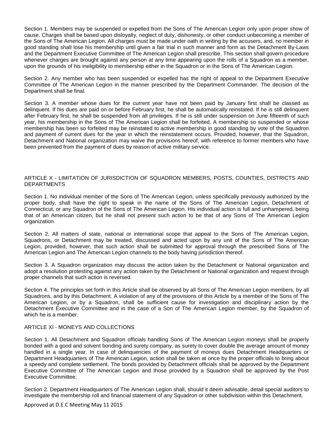Section 1. Members may be suspended or expelled from the Sons of The American Legion only upon proper show of cause. Charges shall be based upon disloyalty, neglect of duty, dishonesty, or other conduct unbecoming a member of the Sons of The American Legion. All charges must be made under oath in writing by the accusers, and, no member in good standing shall lose his membership until given a fair trial in such manner and form as the Detachment By-Laws and the Department Executive Committee of The American Legion shall prescribe. This section shall govern procedure whenever charges are brought against any person at any time appearing upon the rolls of a Squadron as a member, upon the grounds of his ineligibility to membership either in the Squadron or in the Sons of The American Legion.

Section 2. Any member who has been suspended or expelled has the right of appeal to the Department Executive Committee of The American Legion in the manner prescribed by the Department Commander. The decision of the Department shall be final.

Section 3. A member whose dues for the current year have not been paid by January first shall be classed as delinquent. If his dues are paid on or before February first, he shall be automatically reinstated. If he is still delinquent after February first, he shall be suspended from all privileges. If he is still under suspension on June fifteenth of such year, his membership in the Sons of The American Legion shall be forfeited. A membership so suspended or whose membership has been so forfeited may be reinstated to active membership in good standing by vote of the Squadron and payment of current dues for the year in which the reinstatement occurs. Provided, however, that the Squadron, Detachment and National organization may waive the provisions hereof, with reference to former members who have been prevented from the payment of dues by reason of active military service.

### ARTICLE X - LIMITATION OF JURISDICTION OF SQUADRON MEMBERS, POSTS, COUNTIES, DISTRICTS AND **DEPARTMENTS**

Section 1. No individual member of the Sons of The American Legion, unless specifically previously authorized by the proper body, shall have the right to speak in the name of the Sons of The American Legion, Detachment of Connecticut, or any Squadron of the Sons of The American Legion. His individual action is full and unhampered, being that of an American citizen, but he shall not present such action to be that of any Sons of The American Legion organization.

Section 2. All matters of state, national or international scope that appeal to the Sons of The American Legion, Squadrons, or Detachment may be treated, discussed and acted upon by any unit of the Sons of The American Legion, provided, however, that such action shall be submitted for approval through the prescribed Sons of The American Legion and The American Legion channels to the body having jurisdiction thereof.

Section 3. A Squadron organization may discuss the action taken by the Detachment or National organization and adopt a resolution protesting against any action taken by the Detachment or National organization and request through proper channels that such action is reversed.

Section 4. The principles set forth in this Article shall be observed by all Sons of The American Legion members, by all Squadrons, and by this Detachment. A violation of any of the provisions of this Article by a member of the Sons of The American Legion, or by a Squadron, shall be sufficient cause for investigation and disciplinary action by the Detachment Executive Committee and in the case of a Son of The American Legion member, by the Squadron of which he is a member.

### ARTICLE XI - MONEYS AND COLLECTIONS

Section 1. All Detachment and Squadron officials handling Sons of The American Legion moneys shall be properly bonded with a good and solvent bonding and surety company, as surety to cover double the average amount of money handled in a single year. In case of delinquencies of the payment of moneys dues Detachment Headquarters or Department Headquarters of The American Legion, action shall be taken at once by the proper officials to bring about a speedy and complete settlement. The bonds provided by Detachment officials shall be approved by the Department Executive Committee of The American Legion and those provided by a Squadron shall be approved by the Post Executive Committee.

Section 2. Department Headquarters of The American Legion shall, should it deem advisable, detail special auditors to investigate the membership roll and financial statement of any Squadron or other subdivision within this Detachment.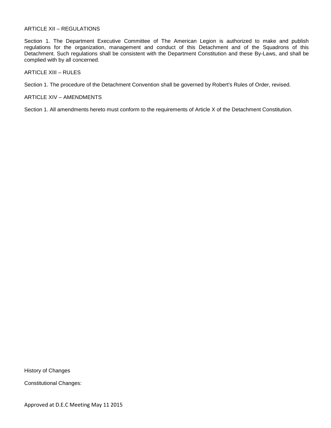#### ARTICLE XII – REGULATIONS

Section 1. The Department Executive Committee of The American Legion is authorized to make and publish regulations for the organization, management and conduct of this Detachment and of the Squadrons of this Detachment. Such regulations shall be consistent with the Department Constitution and these By-Laws, and shall be complied with by all concerned.

ARTICLE XIII – RULES

Section 1. The procedure of the Detachment Convention shall be governed by Robert's Rules of Order, revised.

ARTICLE XIV – AMENDMENTS

Section 1. All amendments hereto must conform to the requirements of Article X of the Detachment Constitution.

History of Changes

Constitutional Changes: